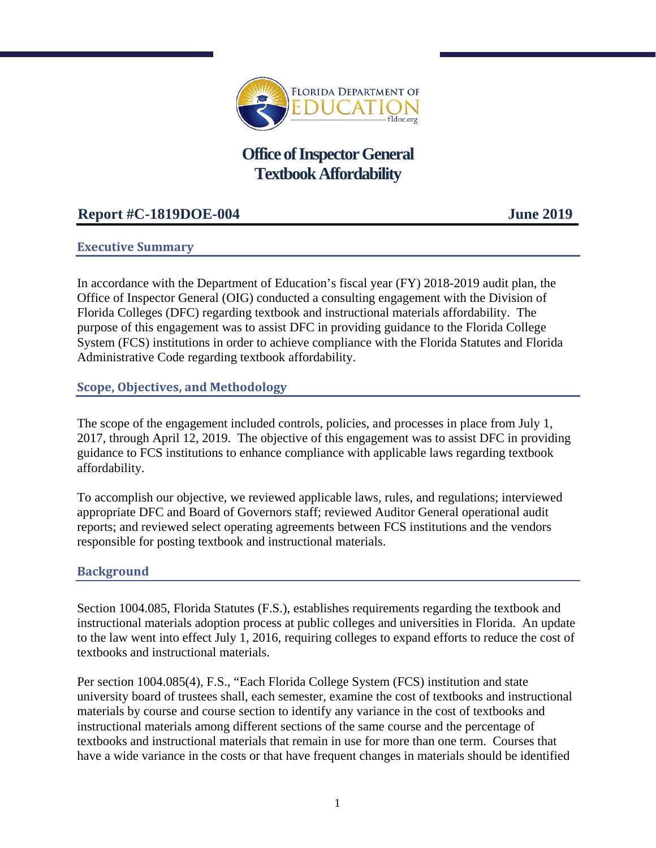

# **Office of Inspector General Textbook Affordability**

# **Report #C-1819DOE-004 June 2019**

# **Executive Summary**

In accordance with the Department of Education's fiscal year (FY) 2018-2019 audit plan, the Office of Inspector General (OIG) conducted a consulting engagement with the Division of Florida Colleges (DFC) regarding textbook and instructional materials affordability. The purpose of this engagement was to assist DFC in providing guidance to the Florida College System (FCS) institutions in order to achieve compliance with the Florida Statutes and Florida Administrative Code regarding textbook affordability.

# **Scope, Objectives, and Methodology**

The scope of the engagement included controls, policies, and processes in place from July 1, 2017, through April 12, 2019. The objective of this engagement was to assist DFC in providing guidance to FCS institutions to enhance compliance with applicable laws regarding textbook affordability.

To accomplish our objective, we reviewed applicable laws, rules, and regulations; interviewed appropriate DFC and Board of Governors staff; reviewed Auditor General operational audit reports; and reviewed select operating agreements between FCS institutions and the vendors responsible for posting textbook and instructional materials.

## **Background**

Section 1004.085, Florida Statutes (F.S.), establishes requirements regarding the textbook and instructional materials adoption process at public colleges and universities in Florida. An update to the law went into effect July 1, 2016, requiring colleges to expand efforts to reduce the cost of textbooks and instructional materials.

Per section 1004.085(4), F.S., "Each Florida College System (FCS) institution and state university board of trustees shall, each semester, examine the cost of textbooks and instructional materials by course and course section to identify any variance in the cost of textbooks and instructional materials among different sections of the same course and the percentage of textbooks and instructional materials that remain in use for more than one term. Courses that have a wide variance in the costs or that have frequent changes in materials should be identified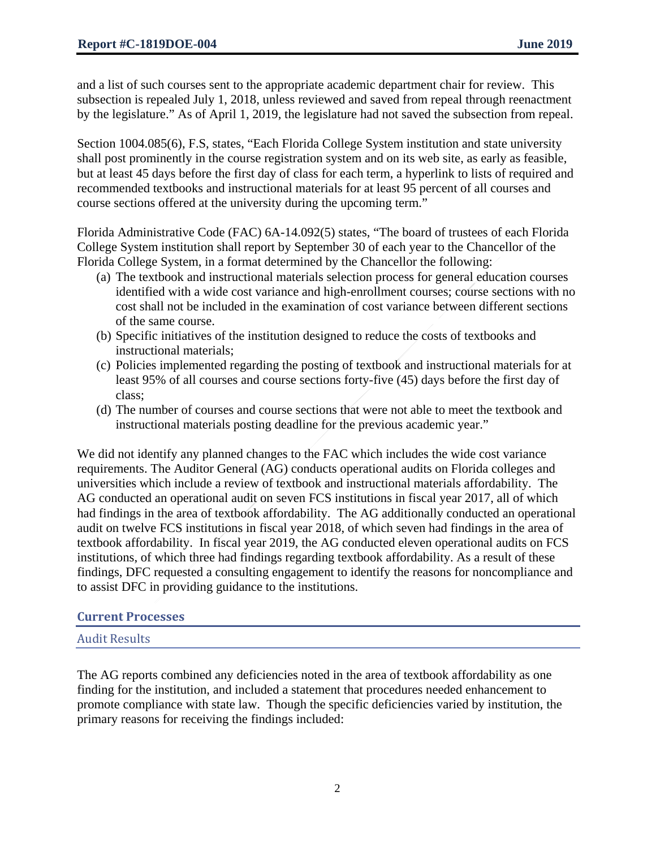and a list of such courses sent to the appropriate academic department chair for review. This subsection is repealed July 1, 2018, unless reviewed and saved from repeal through reenactment by the legislature." As of April 1, 2019, the legislature had not saved the subsection from repeal.

Section 1004.085(6), F.S, states, "Each Florida College System institution and state university shall post prominently in the course registration system and on its web site, as early as feasible, but at least 45 days before the first day of class for each term, a hyperlink to lists of required and recommended textbooks and instructional materials for at least 95 percent of all courses and course sections offered at the university during the upcoming term."

Florida Administrative Code (FAC) 6A-14.092(5) states, "The board of trustees of each Florida College System institution shall report by September 30 of each year to the Chancellor of the Florida College System, in a format determined by the Chancellor the following:

- (a) The textbook and instructional materials selection process for general education courses identified with a wide cost variance and high-enrollment courses; course sections with no cost shall not be included in the examination of cost variance between different sections of the same course.
- (b) Specific initiatives of the institution designed to reduce the costs of textbooks and instructional materials;
- (c) Policies implemented regarding the posting of textbook and instructional materials for at least 95% of all courses and course sections forty-five (45) days before the first day of class;
- (d) The number of courses and course sections that were not able to meet the textbook and instructional materials posting deadline for the previous academic year."

We did not identify any planned changes to the FAC which includes the wide cost variance requirements. The Auditor General (AG) conducts operational audits on Florida colleges and universities which include a review of textbook and instructional materials affordability. The AG conducted an operational audit on seven FCS institutions in fiscal year 2017, all of which had findings in the area of textbook affordability. The AG additionally conducted an operational audit on twelve FCS institutions in fiscal year 2018, of which seven had findings in the area of textbook affordability. In fiscal year 2019, the AG conducted eleven operational audits on FCS institutions, of which three had findings regarding textbook affordability. As a result of these findings, DFC requested a consulting engagement to identify the reasons for noncompliance and to assist DFC in providing guidance to the institutions.

## **Current Processes**

Audit Results

The AG reports combined any deficiencies noted in the area of textbook affordability as one finding for the institution, and included a statement that procedures needed enhancement to promote compliance with state law. Though the specific deficiencies varied by institution, the primary reasons for receiving the findings included: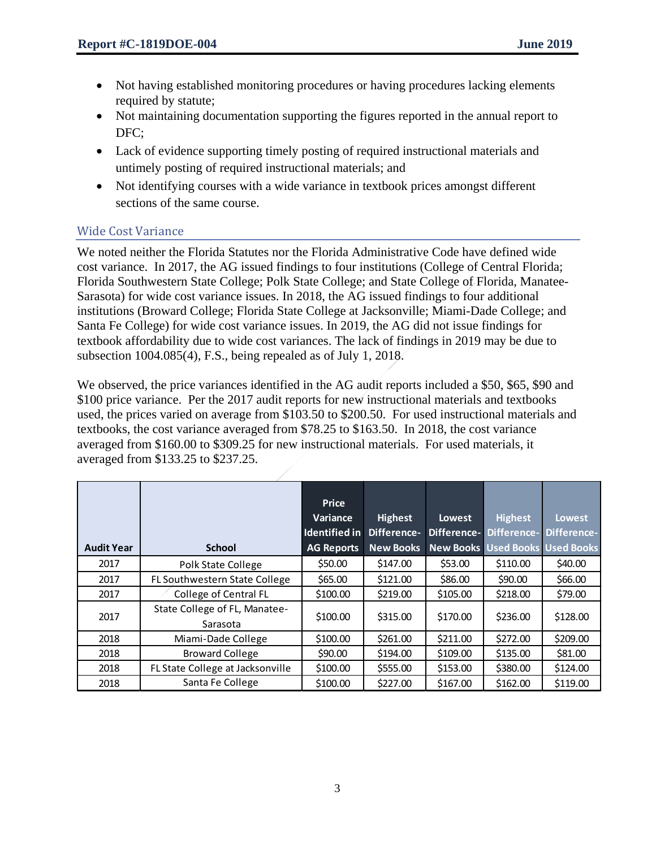- Not having established monitoring procedures or having procedures lacking elements required by statute;
- Not maintaining documentation supporting the figures reported in the annual report to DFC;
- Lack of evidence supporting timely posting of required instructional materials and untimely posting of required instructional materials; and
- Not identifying courses with a wide variance in textbook prices amongst different sections of the same course.

# Wide Cost Variance

We noted neither the Florida Statutes nor the Florida Administrative Code have defined wide cost variance. In 2017, the AG issued findings to four institutions (College of Central Florida; Florida Southwestern State College; Polk State College; and State College of Florida, Manatee-Sarasota) for wide cost variance issues. In 2018, the AG issued findings to four additional institutions (Broward College; Florida State College at Jacksonville; Miami-Dade College; and Santa Fe College) for wide cost variance issues. In 2019, the AG did not issue findings for textbook affordability due to wide cost variances. The lack of findings in 2019 may be due to subsection 1004.085(4), F.S., being repealed as of July 1, 2018.

We observed, the price variances identified in the AG audit reports included a \$50, \$65, \$90 and \$100 price variance. Per the 2017 audit reports for new instructional materials and textbooks used, the prices varied on average from \$103.50 to \$200.50. For used instructional materials and textbooks, the cost variance averaged from \$78.25 to \$163.50. In 2018, the cost variance averaged from \$160.00 to \$309.25 for new instructional materials. For used materials, it averaged from \$133.25 to \$237.25.

| <b>Audit Year</b> | <b>School</b>                             | Price<br>Variance<br>Identified in<br><b>AG Reports</b> | <b>Highest</b><br>Difference-<br><b>New Books</b> | <b>Lowest</b><br>Difference- | <b>Highest</b><br>Difference-<br><b>New Books Used Books Used Books</b> | <b>Lowest</b><br>Difference- |
|-------------------|-------------------------------------------|---------------------------------------------------------|---------------------------------------------------|------------------------------|-------------------------------------------------------------------------|------------------------------|
| 2017              | Polk State College                        | \$50.00                                                 | \$147.00                                          | \$53.00                      | \$110.00                                                                | \$40.00                      |
| 2017              | FL Southwestern State College             | \$65.00                                                 | \$121.00                                          | \$86.00                      | \$90.00                                                                 | \$66.00                      |
| 2017              | College of Central FL                     | \$100.00                                                | \$219.00                                          | \$105.00                     | \$218.00                                                                | \$79.00                      |
| 2017              | State College of FL, Manatee-<br>Sarasota | \$100.00                                                | \$315.00                                          | \$170.00                     | \$236.00                                                                | \$128.00                     |
| 2018              | Miami-Dade College                        | \$100.00                                                | \$261.00                                          | \$211.00                     | \$272.00                                                                | \$209.00                     |
| 2018              | <b>Broward College</b>                    | \$90.00                                                 | \$194.00                                          | \$109.00                     | \$135.00                                                                | \$81.00                      |
| 2018              | FL State College at Jacksonville          | \$100.00                                                | \$555.00                                          | \$153.00                     | \$380.00                                                                | \$124.00                     |
| 2018              | Santa Fe College                          | \$100.00                                                | \$227.00                                          | \$167.00                     | \$162.00                                                                | \$119.00                     |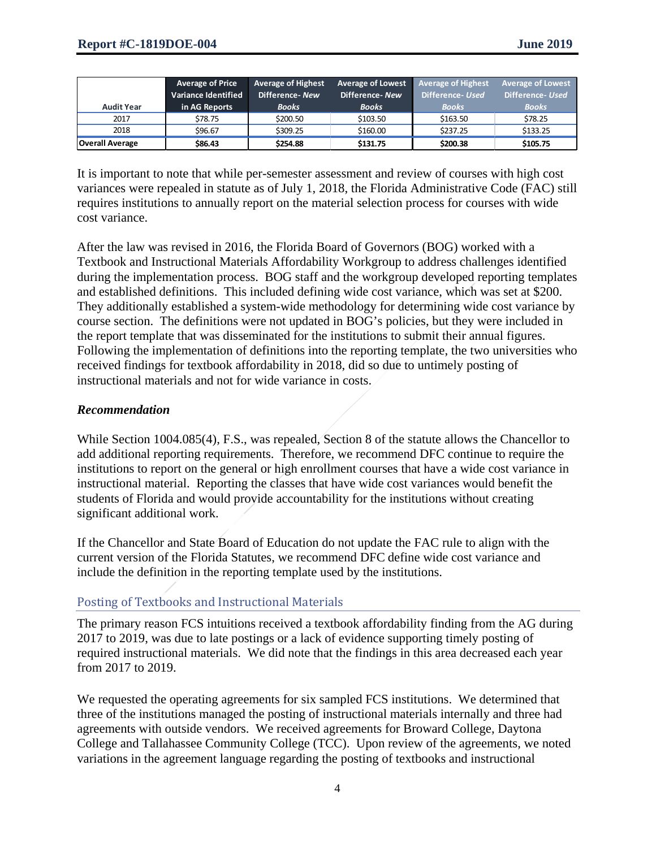|                        | <b>Average of Price</b><br><b>Variance Identified</b> | <b>Average of Highest</b><br>Difference-New | <b>Average of Lowest</b><br>Difference-New | <b>Average of Highest</b><br>Difference- Used | <b>Average of Lowest</b><br>Difference- Used |
|------------------------|-------------------------------------------------------|---------------------------------------------|--------------------------------------------|-----------------------------------------------|----------------------------------------------|
| <b>Audit Year</b>      | in AG Reports                                         | <b>Books</b>                                | <b>Books</b>                               | <b>Books</b>                                  | <b>Books</b>                                 |
| 2017                   | \$78.75                                               | \$200.50                                    | \$103.50                                   | \$163.50                                      | \$78.25                                      |
| 2018                   | \$96.67                                               | \$309.25                                    | \$160.00                                   | \$237.25                                      | \$133.25                                     |
| <b>Overall Average</b> | \$86.43                                               | \$254.88                                    | \$131.75                                   | \$200.38                                      | \$105.75                                     |

It is important to note that while per-semester assessment and review of courses with high cost variances were repealed in statute as of July 1, 2018, the Florida Administrative Code (FAC) still requires institutions to annually report on the material selection process for courses with wide cost variance.

After the law was revised in 2016, the Florida Board of Governors (BOG) worked with a Textbook and Instructional Materials Affordability Workgroup to address challenges identified during the implementation process. BOG staff and the workgroup developed reporting templates and established definitions. This included defining wide cost variance, which was set at \$200. They additionally established a system-wide methodology for determining wide cost variance by course section. The definitions were not updated in BOG's policies, but they were included in the report template that was disseminated for the institutions to submit their annual figures. Following the implementation of definitions into the reporting template, the two universities who received findings for textbook affordability in 2018, did so due to untimely posting of instructional materials and not for wide variance in costs.

#### *Recommendation*

While Section 1004.085(4), F.S., was repealed, Section 8 of the statute allows the Chancellor to add additional reporting requirements. Therefore, we recommend DFC continue to require the institutions to report on the general or high enrollment courses that have a wide cost variance in instructional material. Reporting the classes that have wide cost variances would benefit the students of Florida and would provide accountability for the institutions without creating significant additional work.

If the Chancellor and State Board of Education do not update the FAC rule to align with the current version of the Florida Statutes, we recommend DFC define wide cost variance and include the definition in the reporting template used by the institutions.

## Posting of Textbooks and Instructional Materials

The primary reason FCS intuitions received a textbook affordability finding from the AG during 2017 to 2019, was due to late postings or a lack of evidence supporting timely posting of required instructional materials. We did note that the findings in this area decreased each year from 2017 to 2019.

We requested the operating agreements for six sampled FCS institutions. We determined that three of the institutions managed the posting of instructional materials internally and three had agreements with outside vendors. We received agreements for Broward College, Daytona College and Tallahassee Community College (TCC). Upon review of the agreements, we noted variations in the agreement language regarding the posting of textbooks and instructional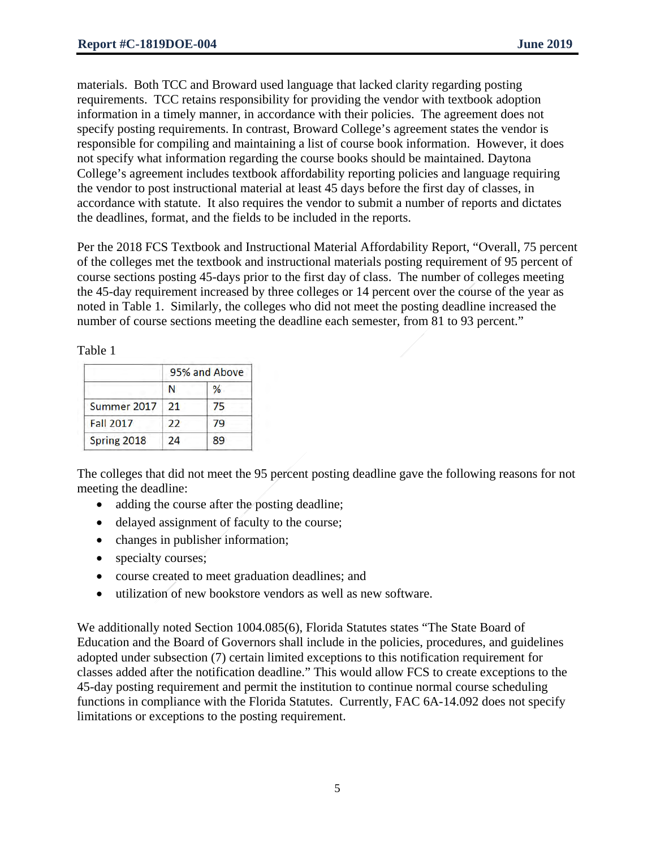materials. Both TCC and Broward used language that lacked clarity regarding posting requirements. TCC retains responsibility for providing the vendor with textbook adoption information in a timely manner, in accordance with their policies. The agreement does not specify posting requirements. In contrast, Broward College's agreement states the vendor is responsible for compiling and maintaining a list of course book information. However, it does not specify what information regarding the course books should be maintained. Daytona College's agreement includes textbook affordability reporting policies and language requiring the vendor to post instructional material at least 45 days before the first day of classes, in accordance with statute. It also requires the vendor to submit a number of reports and dictates the deadlines, format, and the fields to be included in the reports.

Per the 2018 FCS Textbook and Instructional Material Affordability Report, "Overall, 75 percent of the colleges met the textbook and instructional materials posting requirement of 95 percent of course sections posting 45-days prior to the first day of class. The number of colleges meeting the 45-day requirement increased by three colleges or 14 percent over the course of the year as noted in Table 1. Similarly, the colleges who did not meet the posting deadline increased the number of course sections meeting the deadline each semester, from 81 to 93 percent."

Table 1

|                  | 95% and Above |    |
|------------------|---------------|----|
|                  | N             | ℅  |
| Summer 2017      | 21            | 75 |
| <b>Fall 2017</b> | 22            | 79 |
| Spring 2018      | 24            | 89 |

The colleges that did not meet the 95 percent posting deadline gave the following reasons for not meeting the deadline:

- adding the course after the posting deadline;
- delayed assignment of faculty to the course;
- changes in publisher information;
- specialty courses;
- course created to meet graduation deadlines; and
- utilization of new bookstore vendors as well as new software.

We additionally noted Section 1004.085(6), Florida Statutes states "The State Board of Education and the Board of Governors shall include in the policies, procedures, and guidelines adopted under subsection (7) certain limited exceptions to this notification requirement for classes added after the notification deadline." This would allow FCS to create exceptions to the 45-day posting requirement and permit the institution to continue normal course scheduling functions in compliance with the Florida Statutes. Currently, FAC 6A-14.092 does not specify limitations or exceptions to the posting requirement.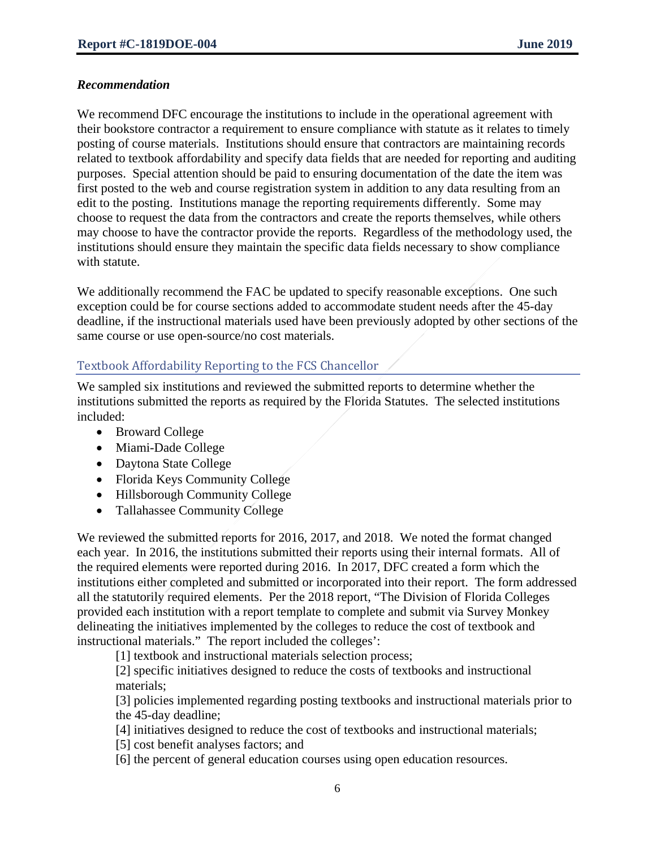#### *Recommendation*

We recommend DFC encourage the institutions to include in the operational agreement with their bookstore contractor a requirement to ensure compliance with statute as it relates to timely posting of course materials. Institutions should ensure that contractors are maintaining records related to textbook affordability and specify data fields that are needed for reporting and auditing purposes. Special attention should be paid to ensuring documentation of the date the item was first posted to the web and course registration system in addition to any data resulting from an edit to the posting. Institutions manage the reporting requirements differently. Some may choose to request the data from the contractors and create the reports themselves, while others may choose to have the contractor provide the reports. Regardless of the methodology used, the institutions should ensure they maintain the specific data fields necessary to show compliance with statute.

We additionally recommend the FAC be updated to specify reasonable exceptions. One such exception could be for course sections added to accommodate student needs after the 45-day deadline, if the instructional materials used have been previously adopted by other sections of the same course or use open-source/no cost materials.

# Textbook Affordability Reporting to the FCS Chancellor

We sampled six institutions and reviewed the submitted reports to determine whether the institutions submitted the reports as required by the Florida Statutes. The selected institutions included:

- Broward College
- Miami-Dade College
- Daytona State College
- Florida Keys Community College
- Hillsborough Community College
- Tallahassee Community College

We reviewed the submitted reports for 2016, 2017, and 2018. We noted the format changed each year. In 2016, the institutions submitted their reports using their internal formats. All of the required elements were reported during 2016. In 2017, DFC created a form which the institutions either completed and submitted or incorporated into their report. The form addressed all the statutorily required elements. Per the 2018 report, "The Division of Florida Colleges provided each institution with a report template to complete and submit via Survey Monkey delineating the initiatives implemented by the colleges to reduce the cost of textbook and instructional materials." The report included the colleges':

[1] textbook and instructional materials selection process;

[2] specific initiatives designed to reduce the costs of textbooks and instructional materials;

[3] policies implemented regarding posting textbooks and instructional materials prior to the 45-day deadline;

- [4] initiatives designed to reduce the cost of textbooks and instructional materials;
- [5] cost benefit analyses factors; and
- [6] the percent of general education courses using open education resources.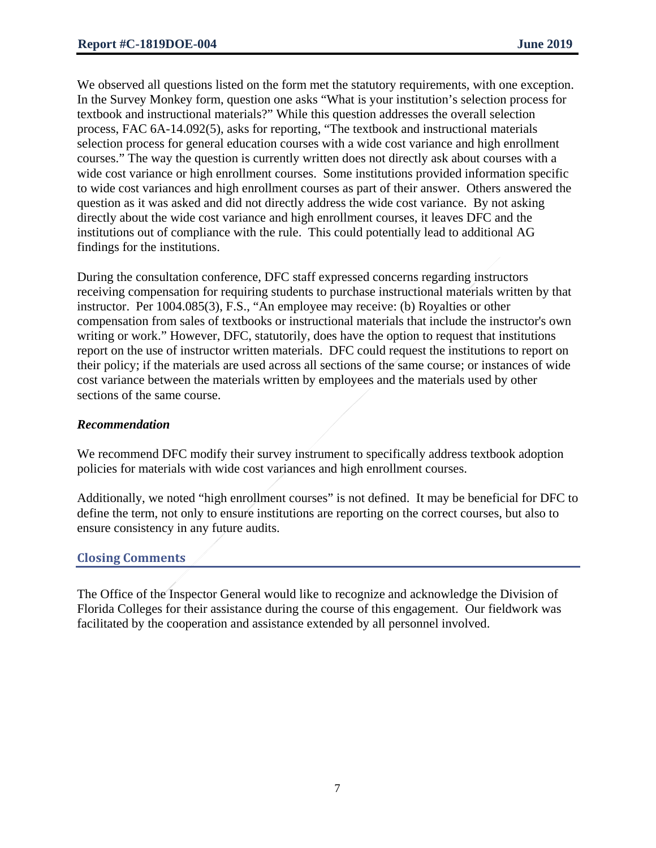We observed all questions listed on the form met the statutory requirements, with one exception. In the Survey Monkey form, question one asks "What is your institution's selection process for textbook and instructional materials?" While this question addresses the overall selection process, FAC 6A-14.092(5), asks for reporting, "The textbook and instructional materials selection process for general education courses with a wide cost variance and high enrollment courses." The way the question is currently written does not directly ask about courses with a wide cost variance or high enrollment courses. Some institutions provided information specific to wide cost variances and high enrollment courses as part of their answer. Others answered the question as it was asked and did not directly address the wide cost variance. By not asking directly about the wide cost variance and high enrollment courses, it leaves DFC and the institutions out of compliance with the rule. This could potentially lead to additional AG findings for the institutions.

During the consultation conference, DFC staff expressed concerns regarding instructors receiving compensation for requiring students to purchase instructional materials written by that instructor. Per 1004.085(3), F.S., "An employee may receive: (b) Royalties or other compensation from sales of textbooks or instructional materials that include the instructor's own writing or work." However, DFC, statutorily, does have the option to request that institutions report on the use of instructor written materials. DFC could request the institutions to report on their policy; if the materials are used across all sections of the same course; or instances of wide cost variance between the materials written by employees and the materials used by other sections of the same course.

#### *Recommendation*

We recommend DFC modify their survey instrument to specifically address textbook adoption policies for materials with wide cost variances and high enrollment courses.

Additionally, we noted "high enrollment courses" is not defined. It may be beneficial for DFC to define the term, not only to ensure institutions are reporting on the correct courses, but also to ensure consistency in any future audits.

## **Closing Comments**

The Office of the Inspector General would like to recognize and acknowledge the Division of Florida Colleges for their assistance during the course of this engagement. Our fieldwork was facilitated by the cooperation and assistance extended by all personnel involved.